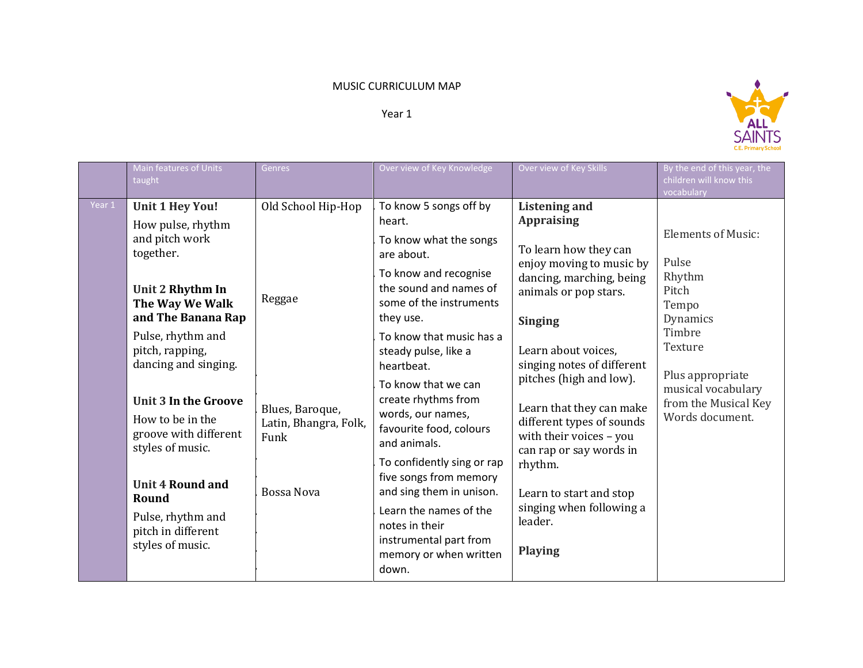## MUSIC CURRICULUM MAP

Year 1



|        | Main features of Units<br>taught                                                                                                                                                                                                                                                                                                                                                                           | Genres                                                                                         | Over view of Key Knowledge                                                                                                                                                                                                                                                                                                                                                                                                                                                                                                              | Over view of Key Skills                                                                                                                                                                                                                                                                                                                                                                                                                                      | By the end of this year, the<br>children will know this<br>vocabulary                                                                                                                |
|--------|------------------------------------------------------------------------------------------------------------------------------------------------------------------------------------------------------------------------------------------------------------------------------------------------------------------------------------------------------------------------------------------------------------|------------------------------------------------------------------------------------------------|-----------------------------------------------------------------------------------------------------------------------------------------------------------------------------------------------------------------------------------------------------------------------------------------------------------------------------------------------------------------------------------------------------------------------------------------------------------------------------------------------------------------------------------------|--------------------------------------------------------------------------------------------------------------------------------------------------------------------------------------------------------------------------------------------------------------------------------------------------------------------------------------------------------------------------------------------------------------------------------------------------------------|--------------------------------------------------------------------------------------------------------------------------------------------------------------------------------------|
| Year 1 | <b>Unit 1 Hey You!</b><br>How pulse, rhythm<br>and pitch work<br>together.<br>Unit 2 Rhythm In<br>The Way We Walk<br>and The Banana Rap<br>Pulse, rhythm and<br>pitch, rapping,<br>dancing and singing.<br><b>Unit 3 In the Groove</b><br>How to be in the<br>groove with different<br>styles of music.<br><b>Unit 4 Round and</b><br>Round<br>Pulse, rhythm and<br>pitch in different<br>styles of music. | Old School Hip-Hop<br>Reggae<br>Blues, Baroque,<br>Latin, Bhangra, Folk,<br>Funk<br>Bossa Nova | To know 5 songs off by<br>heart.<br>To know what the songs<br>are about.<br>To know and recognise<br>the sound and names of<br>some of the instruments<br>they use.<br>To know that music has a<br>steady pulse, like a<br>heartbeat.<br>To know that we can<br>create rhythms from<br>words, our names,<br>favourite food, colours<br>and animals.<br>To confidently sing or rap<br>five songs from memory<br>and sing them in unison.<br>Learn the names of the<br>notes in their<br>instrumental part from<br>memory or when written | <b>Listening and</b><br><b>Appraising</b><br>To learn how they can<br>enjoy moving to music by<br>dancing, marching, being<br>animals or pop stars.<br><b>Singing</b><br>Learn about voices,<br>singing notes of different<br>pitches (high and low).<br>Learn that they can make<br>different types of sounds<br>with their voices - you<br>can rap or say words in<br>rhythm.<br>Learn to start and stop<br>singing when following a<br>leader.<br>Playing | <b>Elements of Music:</b><br>Pulse<br>Rhythm<br>Pitch<br>Tempo<br>Dynamics<br>Timbre<br>Texture<br>Plus appropriate<br>musical vocabulary<br>from the Musical Key<br>Words document. |
|        |                                                                                                                                                                                                                                                                                                                                                                                                            |                                                                                                | down.                                                                                                                                                                                                                                                                                                                                                                                                                                                                                                                                   |                                                                                                                                                                                                                                                                                                                                                                                                                                                              |                                                                                                                                                                                      |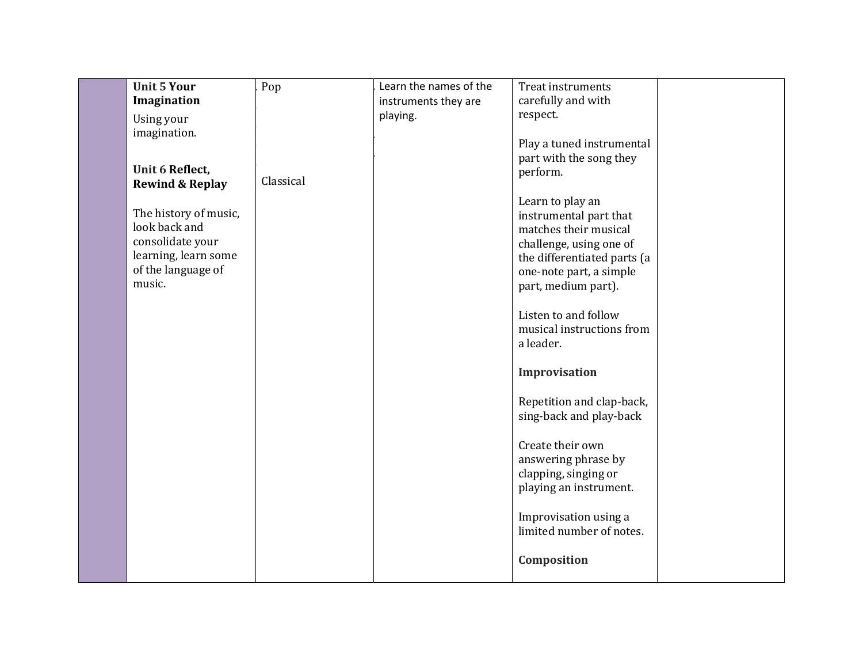| Unit 5 Your                              | Pop       | Learn the names of the | <b>Treat instruments</b>                       |  |
|------------------------------------------|-----------|------------------------|------------------------------------------------|--|
| Imagination                              |           | instruments they are   | carefully and with                             |  |
| Using your                               |           | playing.               | respect.                                       |  |
| imagination.                             |           |                        |                                                |  |
|                                          |           |                        | Play a tuned instrumental                      |  |
|                                          |           |                        | part with the song they                        |  |
| Unit 6 Reflect,                          | Classical |                        | perform.                                       |  |
| <b>Rewind &amp; Replay</b>               |           |                        |                                                |  |
|                                          |           |                        | Learn to play an                               |  |
| The history of music,                    |           |                        | instrumental part that                         |  |
| look back and                            |           |                        | matches their musical                          |  |
| consolidate your<br>learning, learn some |           |                        | challenge, using one of                        |  |
| of the language of                       |           |                        | the differentiated parts (a                    |  |
| music.                                   |           |                        | one-note part, a simple<br>part, medium part). |  |
|                                          |           |                        |                                                |  |
|                                          |           |                        | Listen to and follow                           |  |
|                                          |           |                        | musical instructions from                      |  |
|                                          |           |                        | a leader.                                      |  |
|                                          |           |                        |                                                |  |
|                                          |           |                        | Improvisation                                  |  |
|                                          |           |                        | Repetition and clap-back,                      |  |
|                                          |           |                        | sing-back and play-back                        |  |
|                                          |           |                        |                                                |  |
|                                          |           |                        | Create their own                               |  |
|                                          |           |                        | answering phrase by                            |  |
|                                          |           |                        | clapping, singing or                           |  |
|                                          |           |                        | playing an instrument.                         |  |
|                                          |           |                        | Improvisation using a                          |  |
|                                          |           |                        | limited number of notes.                       |  |
|                                          |           |                        |                                                |  |
|                                          |           |                        | Composition                                    |  |
|                                          |           |                        |                                                |  |